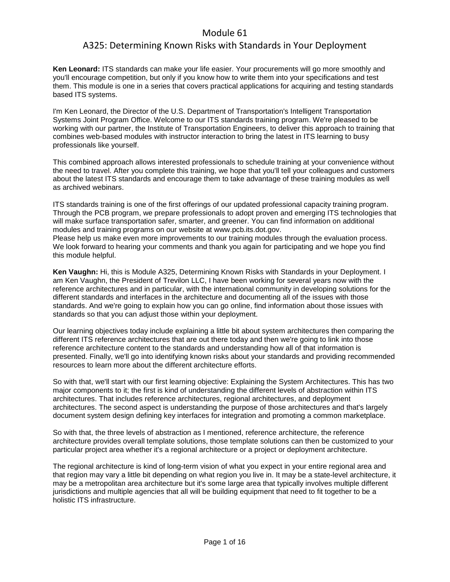#### A325: Determining Known Risks with Standards in Your Deployment

**Ken Leonard:** ITS standards can make your life easier. Your procurements will go more smoothly and you'll encourage competition, but only if you know how to write them into your specifications and test them. This module is one in a series that covers practical applications for acquiring and testing standards based ITS systems.

I'm Ken Leonard, the Director of the U.S. Department of Transportation's Intelligent Transportation Systems Joint Program Office. Welcome to our ITS standards training program. We're pleased to be working with our partner, the Institute of Transportation Engineers, to deliver this approach to training that combines web-based modules with instructor interaction to bring the latest in ITS learning to busy professionals like yourself.

This combined approach allows interested professionals to schedule training at your convenience without the need to travel. After you complete this training, we hope that you'll tell your colleagues and customers about the latest ITS standards and encourage them to take advantage of these training modules as well as archived webinars.

ITS standards training is one of the first offerings of our updated professional capacity training program. Through the PCB program, we prepare professionals to adopt proven and emerging ITS technologies that will make surface transportation safer, smarter, and greener. You can find information on additional modules and training programs on our website at www.pcb.its.dot.gov.

Please help us make even more improvements to our training modules through the evaluation process. We look forward to hearing your comments and thank you again for participating and we hope you find this module helpful.

**Ken Vaughn:** Hi, this is Module A325, Determining Known Risks with Standards in your Deployment. I am Ken Vaughn, the President of Trevilon LLC, I have been working for several years now with the reference architectures and in particular, with the international community in developing solutions for the different standards and interfaces in the architecture and documenting all of the issues with those standards. And we're going to explain how you can go online, find information about those issues with standards so that you can adjust those within your deployment.

Our learning objectives today include explaining a little bit about system architectures then comparing the different ITS reference architectures that are out there today and then we're going to link into those reference architecture content to the standards and understanding how all of that information is presented. Finally, we'll go into identifying known risks about your standards and providing recommended resources to learn more about the different architecture efforts.

So with that, we'll start with our first learning objective: Explaining the System Architectures. This has two major components to it; the first is kind of understanding the different levels of abstraction within ITS architectures. That includes reference architectures, regional architectures, and deployment architectures. The second aspect is understanding the purpose of those architectures and that's largely document system design defining key interfaces for integration and promoting a common marketplace.

So with that, the three levels of abstraction as I mentioned, reference architecture, the reference architecture provides overall template solutions, those template solutions can then be customized to your particular project area whether it's a regional architecture or a project or deployment architecture.

The regional architecture is kind of long-term vision of what you expect in your entire regional area and that region may vary a little bit depending on what region you live in. It may be a state-level architecture, it may be a metropolitan area architecture but it's some large area that typically involves multiple different jurisdictions and multiple agencies that all will be building equipment that need to fit together to be a holistic ITS infrastructure.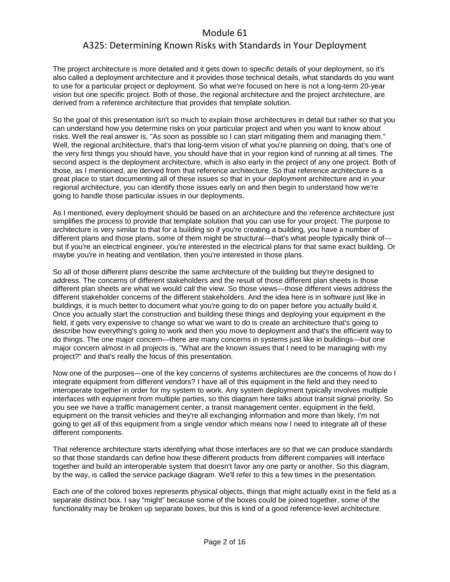## A325: Determining Known Risks with Standards in Your Deployment

The project architecture is more detailed and it gets down to specific details of your deployment, so it's also called a deployment architecture and it provides those technical details, what standards do you want to use for a particular project or deployment. So what we're focused on here is not a long-term 20-year vision but one specific project. Both of those, the regional architecture and the project architecture, are derived from a reference architecture that provides that template solution.

So the goal of this presentation isn't so much to explain those architectures in detail but rather so that you can understand how you determine risks on your particular project and when you want to know about risks. Well the real answer is, "As soon as possible so I can start mitigating them and managing them." Well, the regional architecture, that's that long-term vision of what you're planning on doing, that's one of the very first things you should have, you should have that in your region kind of running at all times. The second aspect is the deployment architecture, which is also early in the project of any one project. Both of those, as I mentioned, are derived from that reference architecture. So that reference architecture is a great place to start documenting all of these issues so that in your deployment architecture and in your regional architecture, you can identify those issues early on and then begin to understand how we're going to handle those particular issues in our deployments.

As I mentioned, every deployment should be based on an architecture and the reference architecture just simplifies the process to provide that template solution that you can use for your project. The purpose to architecture is very similar to that for a building so if you're creating a building, you have a number of different plans and those plans, some of them might be structural—that's what people typically think ofbut if you're an electrical engineer, you're interested in the electrical plans for that same exact building. Or maybe you're in heating and ventilation, then you're interested in those plans.

So all of those different plans describe the same architecture of the building but they're designed to address. The concerns of different stakeholders and the result of those different plan sheets is those different plan sheets are what we would call the view. So those views—those different views address the different stakeholder concerns of the different stakeholders. And the idea here is in software just like in buildings, it is much better to document what you're going to do on paper before you actually build it. Once you actually start the construction and building these things and deploying your equipment in the field, it gets very expensive to change so what we want to do is create an architecture that's going to describe how everything's going to work and then you move to deployment and that's the efficient way to do things. The one major concern—there are many concerns in systems just like in buildings—but one major concern almost in all projects is, "What are the known issues that I need to be managing with my project?" and that's really the focus of this presentation.

Now one of the purposes—one of the key concerns of systems architectures are the concerns of how do I integrate equipment from different vendors? I have all of this equipment in the field and they need to interoperate together in order for my system to work. Any system deployment typically involves multiple interfaces with equipment from multiple parties, so this diagram here talks about transit signal priority. So you see we have a traffic management center, a transit management center, equipment in the field, equipment on the transit vehicles and they're all exchanging information and more than likely, I'm not going to get all of this equipment from a single vendor which means now I need to integrate all of these different components.

That reference architecture starts identifying what those interfaces are so that we can produce standards so that those standards can define how these different products from different companies will interface together and build an interoperable system that doesn't favor any one party or another. So this diagram, by the way, is called the service package diagram. We'll refer to this a few times in the presentation.

Each one of the colored boxes represents physical objects, things that might actually exist in the field as a separate distinct box. I say "might" because some of the boxes could be joined together, some of the functionality may be broken up separate boxes, but this is kind of a good reference-level architecture.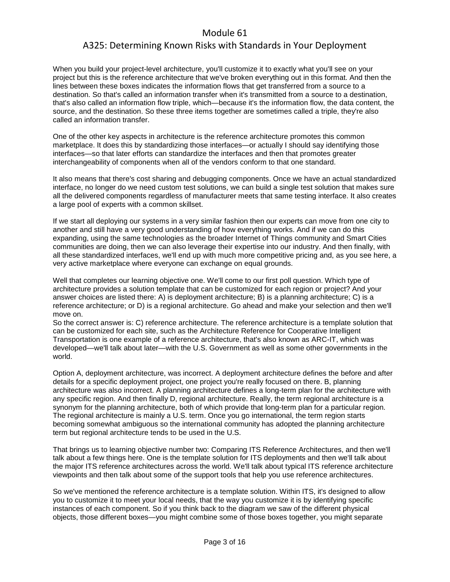## A325: Determining Known Risks with Standards in Your Deployment

When you build your project-level architecture, you'll customize it to exactly what you'll see on your project but this is the reference architecture that we've broken everything out in this format. And then the lines between these boxes indicates the information flows that get transferred from a source to a destination. So that's called an information transfer when it's transmitted from a source to a destination, that's also called an information flow triple, which—because it's the information flow, the data content, the source, and the destination. So these three items together are sometimes called a triple, they're also called an information transfer.

One of the other key aspects in architecture is the reference architecture promotes this common marketplace. It does this by standardizing those interfaces—or actually I should say identifying those interfaces—so that later efforts can standardize the interfaces and then that promotes greater interchangeability of components when all of the vendors conform to that one standard.

It also means that there's cost sharing and debugging components. Once we have an actual standardized interface, no longer do we need custom test solutions, we can build a single test solution that makes sure all the delivered components regardless of manufacturer meets that same testing interface. It also creates a large pool of experts with a common skillset.

If we start all deploying our systems in a very similar fashion then our experts can move from one city to another and still have a very good understanding of how everything works. And if we can do this expanding, using the same technologies as the broader Internet of Things community and Smart Cities communities are doing, then we can also leverage their expertise into our industry. And then finally, with all these standardized interfaces, we'll end up with much more competitive pricing and, as you see here, a very active marketplace where everyone can exchange on equal grounds.

Well that completes our learning objective one. We'll come to our first poll question. Which type of architecture provides a solution template that can be customized for each region or project? And your answer choices are listed there: A) is deployment architecture; B) is a planning architecture; C) is a reference architecture; or D) is a regional architecture. Go ahead and make your selection and then we'll move on.

So the correct answer is: C) reference architecture. The reference architecture is a template solution that can be customized for each site, such as the Architecture Reference for Cooperative Intelligent Transportation is one example of a reference architecture, that's also known as ARC-IT, which was developed—we'll talk about later—with the U.S. Government as well as some other governments in the world.

Option A, deployment architecture, was incorrect. A deployment architecture defines the before and after details for a specific deployment project, one project you're really focused on there. B, planning architecture was also incorrect. A planning architecture defines a long-term plan for the architecture with any specific region. And then finally D, regional architecture. Really, the term regional architecture is a synonym for the planning architecture, both of which provide that long-term plan for a particular region. The regional architecture is mainly a U.S. term. Once you go international, the term region starts becoming somewhat ambiguous so the international community has adopted the planning architecture term but regional architecture tends to be used in the U.S.

That brings us to learning objective number two: Comparing ITS Reference Architectures, and then we'll talk about a few things here. One is the template solution for ITS deployments and then we'll talk about the major ITS reference architectures across the world. We'll talk about typical ITS reference architecture viewpoints and then talk about some of the support tools that help you use reference architectures.

So we've mentioned the reference architecture is a template solution. Within ITS, it's designed to allow you to customize it to meet your local needs, that the way you customize it is by identifying specific instances of each component. So if you think back to the diagram we saw of the different physical objects, those different boxes—you might combine some of those boxes together, you might separate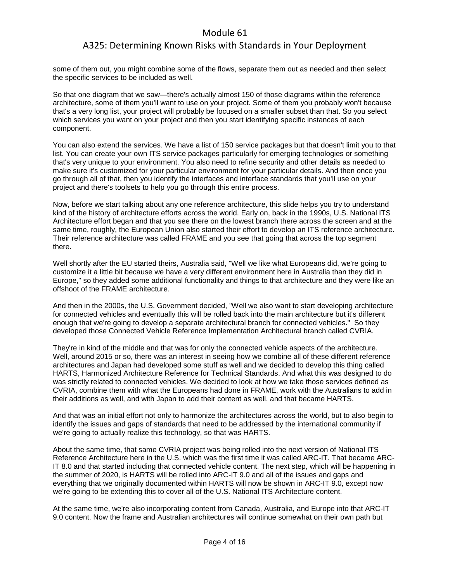## A325: Determining Known Risks with Standards in Your Deployment

some of them out, you might combine some of the flows, separate them out as needed and then select the specific services to be included as well.

So that one diagram that we saw—there's actually almost 150 of those diagrams within the reference architecture, some of them you'll want to use on your project. Some of them you probably won't because that's a very long list, your project will probably be focused on a smaller subset than that. So you select which services you want on your project and then you start identifying specific instances of each component.

You can also extend the services. We have a list of 150 service packages but that doesn't limit you to that list. You can create your own ITS service packages particularly for emerging technologies or something that's very unique to your environment. You also need to refine security and other details as needed to make sure it's customized for your particular environment for your particular details. And then once you go through all of that, then you identify the interfaces and interface standards that you'll use on your project and there's toolsets to help you go through this entire process.

Now, before we start talking about any one reference architecture, this slide helps you try to understand kind of the history of architecture efforts across the world. Early on, back in the 1990s, U.S. National ITS Architecture effort began and that you see there on the lowest branch there across the screen and at the same time, roughly, the European Union also started their effort to develop an ITS reference architecture. Their reference architecture was called FRAME and you see that going that across the top segment there.

Well shortly after the EU started theirs, Australia said, "Well we like what Europeans did, we're going to customize it a little bit because we have a very different environment here in Australia than they did in Europe," so they added some additional functionality and things to that architecture and they were like an offshoot of the FRAME architecture.

And then in the 2000s, the U.S. Government decided, "Well we also want to start developing architecture for connected vehicles and eventually this will be rolled back into the main architecture but it's different enough that we're going to develop a separate architectural branch for connected vehicles." So they developed those Connected Vehicle Reference Implementation Architectural branch called CVRIA.

They're in kind of the middle and that was for only the connected vehicle aspects of the architecture. Well, around 2015 or so, there was an interest in seeing how we combine all of these different reference architectures and Japan had developed some stuff as well and we decided to develop this thing called HARTS, Harmonized Architecture Reference for Technical Standards. And what this was designed to do was strictly related to connected vehicles. We decided to look at how we take those services defined as CVRIA, combine them with what the Europeans had done in FRAME, work with the Australians to add in their additions as well, and with Japan to add their content as well, and that became HARTS.

And that was an initial effort not only to harmonize the architectures across the world, but to also begin to identify the issues and gaps of standards that need to be addressed by the international community if we're going to actually realize this technology, so that was HARTS.

About the same time, that same CVRIA project was being rolled into the next version of National ITS Reference Architecture here in the U.S. which was the first time it was called ARC-IT. That became ARC-IT 8.0 and that started including that connected vehicle content. The next step, which will be happening in the summer of 2020, is HARTS will be rolled into ARC-IT 9.0 and all of the issues and gaps and everything that we originally documented within HARTS will now be shown in ARC-IT 9.0, except now we're going to be extending this to cover all of the U.S. National ITS Architecture content.

At the same time, we're also incorporating content from Canada, Australia, and Europe into that ARC-IT 9.0 content. Now the frame and Australian architectures will continue somewhat on their own path but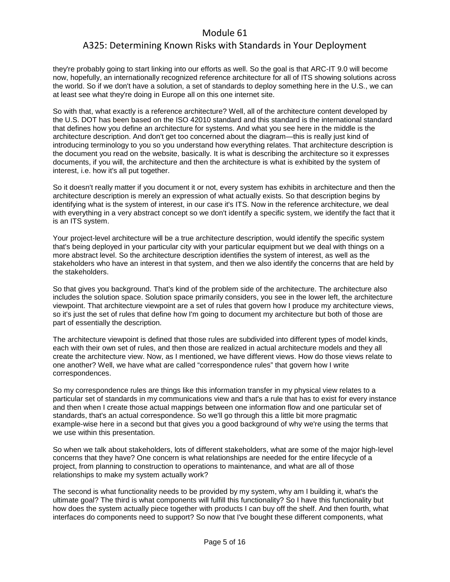#### A325: Determining Known Risks with Standards in Your Deployment

they're probably going to start linking into our efforts as well. So the goal is that ARC-IT 9.0 will become now, hopefully, an internationally recognized reference architecture for all of ITS showing solutions across the world. So if we don't have a solution, a set of standards to deploy something here in the U.S., we can at least see what they're doing in Europe all on this one internet site.

So with that, what exactly is a reference architecture? Well, all of the architecture content developed by the U.S. DOT has been based on the ISO 42010 standard and this standard is the international standard that defines how you define an architecture for systems. And what you see here in the middle is the architecture description. And don't get too concerned about the diagram—this is really just kind of introducing terminology to you so you understand how everything relates. That architecture description is the document you read on the website, basically. It is what is describing the architecture so it expresses documents, if you will, the architecture and then the architecture is what is exhibited by the system of interest, i.e. how it's all put together.

So it doesn't really matter if you document it or not, every system has exhibits in architecture and then the architecture description is merely an expression of what actually exists. So that description begins by identifying what is the system of interest, in our case it's ITS. Now in the reference architecture, we deal with everything in a very abstract concept so we don't identify a specific system, we identify the fact that it is an ITS system.

Your project-level architecture will be a true architecture description, would identify the specific system that's being deployed in your particular city with your particular equipment but we deal with things on a more abstract level. So the architecture description identifies the system of interest, as well as the stakeholders who have an interest in that system, and then we also identify the concerns that are held by the stakeholders.

So that gives you background. That's kind of the problem side of the architecture. The architecture also includes the solution space. Solution space primarily considers, you see in the lower left, the architecture viewpoint. That architecture viewpoint are a set of rules that govern how I produce my architecture views, so it's just the set of rules that define how I'm going to document my architecture but both of those are part of essentially the description.

The architecture viewpoint is defined that those rules are subdivided into different types of model kinds, each with their own set of rules, and then those are realized in actual architecture models and they all create the architecture view. Now, as I mentioned, we have different views. How do those views relate to one another? Well, we have what are called "correspondence rules" that govern how I write correspondences.

So my correspondence rules are things like this information transfer in my physical view relates to a particular set of standards in my communications view and that's a rule that has to exist for every instance and then when I create those actual mappings between one information flow and one particular set of standards, that's an actual correspondence. So we'll go through this a little bit more pragmatic example-wise here in a second but that gives you a good background of why we're using the terms that we use within this presentation.

So when we talk about stakeholders, lots of different stakeholders, what are some of the major high-level concerns that they have? One concern is what relationships are needed for the entire lifecycle of a project, from planning to construction to operations to maintenance, and what are all of those relationships to make my system actually work?

The second is what functionality needs to be provided by my system, why am I building it, what's the ultimate goal? The third is what components will fulfill this functionality? So I have this functionality but how does the system actually piece together with products I can buy off the shelf. And then fourth, what interfaces do components need to support? So now that I've bought these different components, what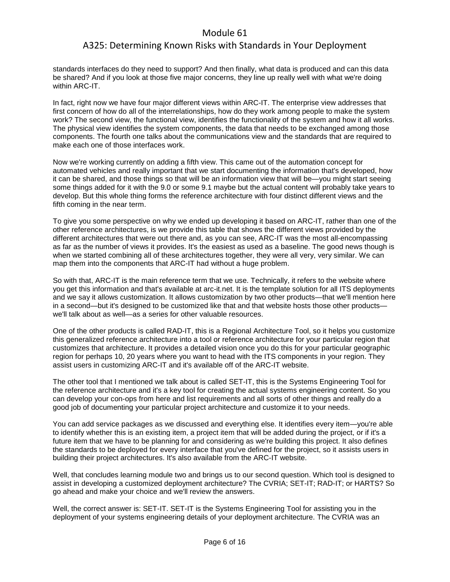### A325: Determining Known Risks with Standards in Your Deployment

standards interfaces do they need to support? And then finally, what data is produced and can this data be shared? And if you look at those five major concerns, they line up really well with what we're doing within ARC-IT.

In fact, right now we have four major different views within ARC-IT. The enterprise view addresses that first concern of how do all of the interrelationships, how do they work among people to make the system work? The second view, the functional view, identifies the functionality of the system and how it all works. The physical view identifies the system components, the data that needs to be exchanged among those components. The fourth one talks about the communications view and the standards that are required to make each one of those interfaces work.

Now we're working currently on adding a fifth view. This came out of the automation concept for automated vehicles and really important that we start documenting the information that's developed, how it can be shared, and those things so that will be an information view that will be—you might start seeing some things added for it with the 9.0 or some 9.1 maybe but the actual content will probably take years to develop. But this whole thing forms the reference architecture with four distinct different views and the fifth coming in the near term.

To give you some perspective on why we ended up developing it based on ARC-IT, rather than one of the other reference architectures, is we provide this table that shows the different views provided by the different architectures that were out there and, as you can see, ARC-IT was the most all-encompassing as far as the number of views it provides. It's the easiest as used as a baseline. The good news though is when we started combining all of these architectures together, they were all very, very similar. We can map them into the components that ARC-IT had without a huge problem.

So with that, ARC-IT is the main reference term that we use. Technically, it refers to the website where you get this information and that's available at arc-it.net. It is the template solution for all ITS deployments and we say it allows customization. It allows customization by two other products—that we'll mention here in a second—but it's designed to be customized like that and that website hosts those other products we'll talk about as well—as a series for other valuable resources.

One of the other products is called RAD-IT, this is a Regional Architecture Tool, so it helps you customize this generalized reference architecture into a tool or reference architecture for your particular region that customizes that architecture. It provides a detailed vision once you do this for your particular geographic region for perhaps 10, 20 years where you want to head with the ITS components in your region. They assist users in customizing ARC-IT and it's available off of the ARC-IT website.

The other tool that I mentioned we talk about is called SET-IT, this is the Systems Engineering Tool for the reference architecture and it's a key tool for creating the actual systems engineering content. So you can develop your con-ops from here and list requirements and all sorts of other things and really do a good job of documenting your particular project architecture and customize it to your needs.

You can add service packages as we discussed and everything else. It identifies every item—you're able to identify whether this is an existing item, a project item that will be added during the project, or if it's a future item that we have to be planning for and considering as we're building this project. It also defines the standards to be deployed for every interface that you've defined for the project, so it assists users in building their project architectures. It's also available from the ARC-IT website.

Well, that concludes learning module two and brings us to our second question. Which tool is designed to assist in developing a customized deployment architecture? The CVRIA; SET-IT; RAD-IT; or HARTS? So go ahead and make your choice and we'll review the answers.

Well, the correct answer is: SET-IT. SET-IT is the Systems Engineering Tool for assisting you in the deployment of your systems engineering details of your deployment architecture. The CVRIA was an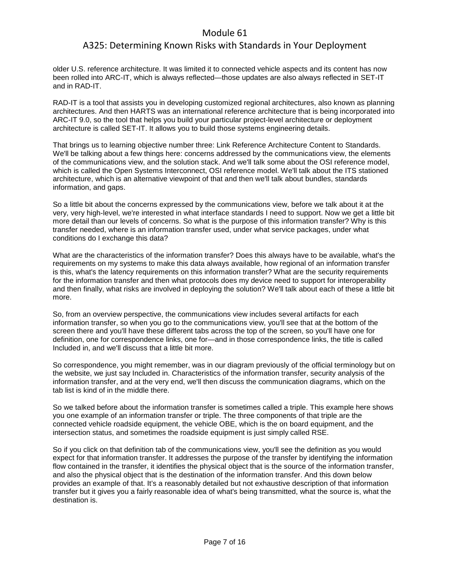#### A325: Determining Known Risks with Standards in Your Deployment

older U.S. reference architecture. It was limited it to connected vehicle aspects and its content has now been rolled into ARC-IT, which is always reflected—those updates are also always reflected in SET-IT and in RAD-IT.

RAD-IT is a tool that assists you in developing customized regional architectures, also known as planning architectures. And then HARTS was an international reference architecture that is being incorporated into ARC-IT 9.0, so the tool that helps you build your particular project-level architecture or deployment architecture is called SET-IT. It allows you to build those systems engineering details.

That brings us to learning objective number three: Link Reference Architecture Content to Standards. We'll be talking about a few things here: concerns addressed by the communications view, the elements of the communications view, and the solution stack. And we'll talk some about the OSI reference model, which is called the Open Systems Interconnect, OSI reference model. We'll talk about the ITS stationed architecture, which is an alternative viewpoint of that and then we'll talk about bundles, standards information, and gaps.

So a little bit about the concerns expressed by the communications view, before we talk about it at the very, very high-level, we're interested in what interface standards I need to support. Now we get a little bit more detail than our levels of concerns. So what is the purpose of this information transfer? Why is this transfer needed, where is an information transfer used, under what service packages, under what conditions do I exchange this data?

What are the characteristics of the information transfer? Does this always have to be available, what's the requirements on my systems to make this data always available, how regional of an information transfer is this, what's the latency requirements on this information transfer? What are the security requirements for the information transfer and then what protocols does my device need to support for interoperability and then finally, what risks are involved in deploying the solution? We'll talk about each of these a little bit more.

So, from an overview perspective, the communications view includes several artifacts for each information transfer, so when you go to the communications view, you'll see that at the bottom of the screen there and you'll have these different tabs across the top of the screen, so you'll have one for definition, one for correspondence links, one for—and in those correspondence links, the title is called Included in, and we'll discuss that a little bit more.

So correspondence, you might remember, was in our diagram previously of the official terminology but on the website, we just say Included in. Characteristics of the information transfer, security analysis of the information transfer, and at the very end, we'll then discuss the communication diagrams, which on the tab list is kind of in the middle there.

So we talked before about the information transfer is sometimes called a triple. This example here shows you one example of an information transfer or triple. The three components of that triple are the connected vehicle roadside equipment, the vehicle OBE, which is the on board equipment, and the intersection status, and sometimes the roadside equipment is just simply called RSE.

So if you click on that definition tab of the communications view, you'll see the definition as you would expect for that information transfer. It addresses the purpose of the transfer by identifying the information flow contained in the transfer, it identifies the physical object that is the source of the information transfer, and also the physical object that is the destination of the information transfer. And this down below provides an example of that. It's a reasonably detailed but not exhaustive description of that information transfer but it gives you a fairly reasonable idea of what's being transmitted, what the source is, what the destination is.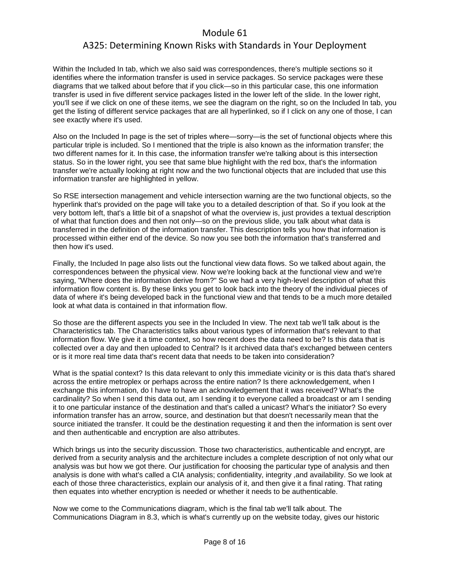#### A325: Determining Known Risks with Standards in Your Deployment

Within the Included In tab, which we also said was correspondences, there's multiple sections so it identifies where the information transfer is used in service packages. So service packages were these diagrams that we talked about before that if you click—so in this particular case, this one information transfer is used in five different service packages listed in the lower left of the slide. In the lower right, you'll see if we click on one of these items, we see the diagram on the right, so on the Included In tab, you get the listing of different service packages that are all hyperlinked, so if I click on any one of those, I can see exactly where it's used.

Also on the Included In page is the set of triples where—sorry—is the set of functional objects where this particular triple is included. So I mentioned that the triple is also known as the information transfer; the two different names for it. In this case, the information transfer we're talking about is this intersection status. So in the lower right, you see that same blue highlight with the red box, that's the information transfer we're actually looking at right now and the two functional objects that are included that use this information transfer are highlighted in yellow.

So RSE intersection management and vehicle intersection warning are the two functional objects, so the hyperlink that's provided on the page will take you to a detailed description of that. So if you look at the very bottom left, that's a little bit of a snapshot of what the overview is, just provides a textual description of what that function does and then not only—so on the previous slide, you talk about what data is transferred in the definition of the information transfer. This description tells you how that information is processed within either end of the device. So now you see both the information that's transferred and then how it's used.

Finally, the Included In page also lists out the functional view data flows. So we talked about again, the correspondences between the physical view. Now we're looking back at the functional view and we're saying, "Where does the information derive from?" So we had a very high-level description of what this information flow content is. By these links you get to look back into the theory of the individual pieces of data of where it's being developed back in the functional view and that tends to be a much more detailed look at what data is contained in that information flow.

So those are the different aspects you see in the Included In view. The next tab we'll talk about is the Characteristics tab. The Characteristics talks about various types of information that's relevant to that information flow. We give it a time context, so how recent does the data need to be? Is this data that is collected over a day and then uploaded to Central? Is it archived data that's exchanged between centers or is it more real time data that's recent data that needs to be taken into consideration?

What is the spatial context? Is this data relevant to only this immediate vicinity or is this data that's shared across the entire metroplex or perhaps across the entire nation? Is there acknowledgement, when I exchange this information, do I have to have an acknowledgement that it was received? What's the cardinality? So when I send this data out, am I sending it to everyone called a broadcast or am I sending it to one particular instance of the destination and that's called a unicast? What's the initiator? So every information transfer has an arrow, source, and destination but that doesn't necessarily mean that the source initiated the transfer. It could be the destination requesting it and then the information is sent over and then authenticable and encryption are also attributes.

Which brings us into the security discussion. Those two characteristics, authenticable and encrypt, are derived from a security analysis and the architecture includes a complete description of not only what our analysis was but how we got there. Our justification for choosing the particular type of analysis and then analysis is done with what's called a CIA analysis; confidentiality, integrity ,and availability. So we look at each of those three characteristics, explain our analysis of it, and then give it a final rating. That rating then equates into whether encryption is needed or whether it needs to be authenticable.

Now we come to the Communications diagram, which is the final tab we'll talk about. The Communications Diagram in 8.3, which is what's currently up on the website today, gives our historic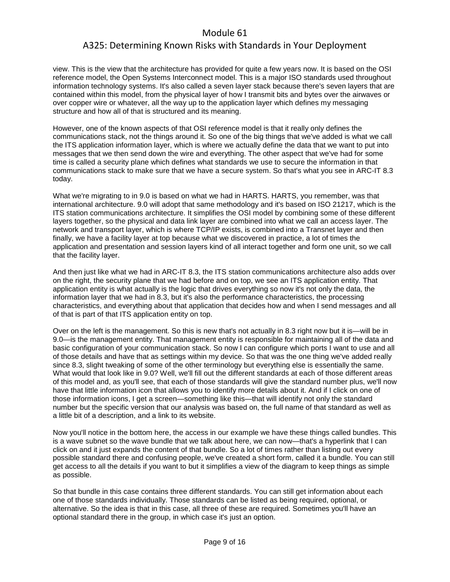## A325: Determining Known Risks with Standards in Your Deployment

view. This is the view that the architecture has provided for quite a few years now. It is based on the OSI reference model, the Open Systems Interconnect model. This is a major ISO standards used throughout information technology systems. It's also called a seven layer stack because there's seven layers that are contained within this model, from the physical layer of how I transmit bits and bytes over the airwaves or over copper wire or whatever, all the way up to the application layer which defines my messaging structure and how all of that is structured and its meaning.

However, one of the known aspects of that OSI reference model is that it really only defines the communications stack, not the things around it. So one of the big things that we've added is what we call the ITS application information layer, which is where we actually define the data that we want to put into messages that we then send down the wire and everything. The other aspect that we've had for some time is called a security plane which defines what standards we use to secure the information in that communications stack to make sure that we have a secure system. So that's what you see in ARC-IT 8.3 today.

What we're migrating to in 9.0 is based on what we had in HARTS. HARTS, you remember, was that international architecture. 9.0 will adopt that same methodology and it's based on ISO 21217, which is the ITS station communications architecture. It simplifies the OSI model by combining some of these different layers together, so the physical and data link layer are combined into what we call an access layer. The network and transport layer, which is where TCP/IP exists, is combined into a Transnet layer and then finally, we have a facility layer at top because what we discovered in practice, a lot of times the application and presentation and session layers kind of all interact together and form one unit, so we call that the facility layer.

And then just like what we had in ARC-IT 8.3, the ITS station communications architecture also adds over on the right, the security plane that we had before and on top, we see an ITS application entity. That application entity is what actually is the logic that drives everything so now it's not only the data, the information layer that we had in 8.3, but it's also the performance characteristics, the processing characteristics, and everything about that application that decides how and when I send messages and all of that is part of that ITS application entity on top.

Over on the left is the management. So this is new that's not actually in 8.3 right now but it is—will be in 9.0—is the management entity. That management entity is responsible for maintaining all of the data and basic configuration of your communication stack. So now I can configure which ports I want to use and all of those details and have that as settings within my device. So that was the one thing we've added really since 8.3, slight tweaking of some of the other terminology but everything else is essentially the same. What would that look like in 9.0? Well, we'll fill out the different standards at each of those different areas of this model and, as you'll see, that each of those standards will give the standard number plus, we'll now have that little information icon that allows you to identify more details about it. And if I click on one of those information icons, I get a screen—something like this—that will identify not only the standard number but the specific version that our analysis was based on, the full name of that standard as well as a little bit of a description, and a link to its website.

Now you'll notice in the bottom here, the access in our example we have these things called bundles. This is a wave subnet so the wave bundle that we talk about here, we can now—that's a hyperlink that I can click on and it just expands the content of that bundle. So a lot of times rather than listing out every possible standard there and confusing people, we've created a short form, called it a bundle. You can still get access to all the details if you want to but it simplifies a view of the diagram to keep things as simple as possible.

So that bundle in this case contains three different standards. You can still get information about each one of those standards individually. Those standards can be listed as being required, optional, or alternative. So the idea is that in this case, all three of these are required. Sometimes you'll have an optional standard there in the group, in which case it's just an option.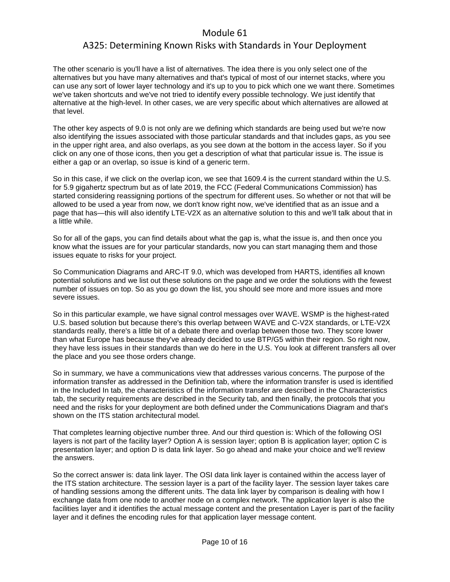#### A325: Determining Known Risks with Standards in Your Deployment

The other scenario is you'll have a list of alternatives. The idea there is you only select one of the alternatives but you have many alternatives and that's typical of most of our internet stacks, where you can use any sort of lower layer technology and it's up to you to pick which one we want there. Sometimes we've taken shortcuts and we've not tried to identify every possible technology. We just identify that alternative at the high-level. In other cases, we are very specific about which alternatives are allowed at that level.

The other key aspects of 9.0 is not only are we defining which standards are being used but we're now also identifying the issues associated with those particular standards and that includes gaps, as you see in the upper right area, and also overlaps, as you see down at the bottom in the access layer. So if you click on any one of those icons, then you get a description of what that particular issue is. The issue is either a gap or an overlap, so issue is kind of a generic term.

So in this case, if we click on the overlap icon, we see that 1609.4 is the current standard within the U.S. for 5.9 gigahertz spectrum but as of late 2019, the FCC (Federal Communications Commission) has started considering reassigning portions of the spectrum for different uses. So whether or not that will be allowed to be used a year from now, we don't know right now, we've identified that as an issue and a page that has—this will also identify LTE-V2X as an alternative solution to this and we'll talk about that in a little while.

So for all of the gaps, you can find details about what the gap is, what the issue is, and then once you know what the issues are for your particular standards, now you can start managing them and those issues equate to risks for your project.

So Communication Diagrams and ARC-IT 9.0, which was developed from HARTS, identifies all known potential solutions and we list out these solutions on the page and we order the solutions with the fewest number of issues on top. So as you go down the list, you should see more and more issues and more severe issues.

So in this particular example, we have signal control messages over WAVE. WSMP is the highest-rated U.S. based solution but because there's this overlap between WAVE and C-V2X standards, or LTE-V2X standards really, there's a little bit of a debate there and overlap between those two. They score lower than what Europe has because they've already decided to use BTP/G5 within their region. So right now, they have less issues in their standards than we do here in the U.S. You look at different transfers all over the place and you see those orders change.

So in summary, we have a communications view that addresses various concerns. The purpose of the information transfer as addressed in the Definition tab, where the information transfer is used is identified in the Included In tab, the characteristics of the information transfer are described in the Characteristics tab, the security requirements are described in the Security tab, and then finally, the protocols that you need and the risks for your deployment are both defined under the Communications Diagram and that's shown on the ITS station architectural model.

That completes learning objective number three. And our third question is: Which of the following OSI layers is not part of the facility layer? Option A is session layer; option B is application layer; option C is presentation layer; and option D is data link layer. So go ahead and make your choice and we'll review the answers.

So the correct answer is: data link layer. The OSI data link layer is contained within the access layer of the ITS station architecture. The session layer is a part of the facility layer. The session layer takes care of handling sessions among the different units. The data link layer by comparison is dealing with how I exchange data from one node to another node on a complex network. The application layer is also the facilities layer and it identifies the actual message content and the presentation Layer is part of the facility layer and it defines the encoding rules for that application layer message content.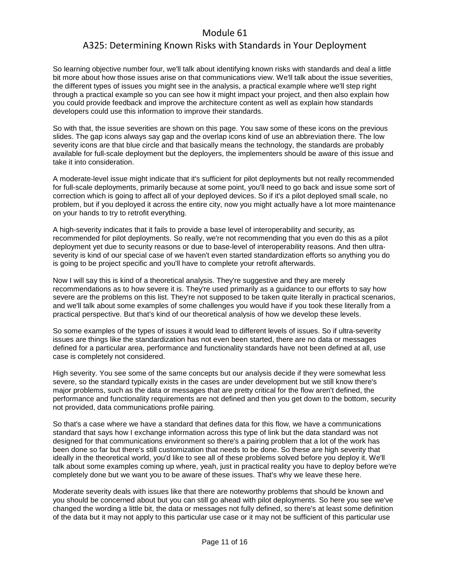## A325: Determining Known Risks with Standards in Your Deployment

So learning objective number four, we'll talk about identifying known risks with standards and deal a little bit more about how those issues arise on that communications view. We'll talk about the issue severities, the different types of issues you might see in the analysis, a practical example where we'll step right through a practical example so you can see how it might impact your project, and then also explain how you could provide feedback and improve the architecture content as well as explain how standards developers could use this information to improve their standards.

So with that, the issue severities are shown on this page. You saw some of these icons on the previous slides. The gap icons always say gap and the overlap icons kind of use an abbreviation there. The low severity icons are that blue circle and that basically means the technology, the standards are probably available for full-scale deployment but the deployers, the implementers should be aware of this issue and take it into consideration.

A moderate-level issue might indicate that it's sufficient for pilot deployments but not really recommended for full-scale deployments, primarily because at some point, you'll need to go back and issue some sort of correction which is going to affect all of your deployed devices. So if it's a pilot deployed small scale, no problem, but if you deployed it across the entire city, now you might actually have a lot more maintenance on your hands to try to retrofit everything.

A high-severity indicates that it fails to provide a base level of interoperability and security, as recommended for pilot deployments. So really, we're not recommending that you even do this as a pilot deployment yet due to security reasons or due to base-level of interoperability reasons. And then ultraseverity is kind of our special case of we haven't even started standardization efforts so anything you do is going to be project specific and you'll have to complete your retrofit afterwards.

Now I will say this is kind of a theoretical analysis. They're suggestive and they are merely recommendations as to how severe it is. They're used primarily as a guidance to our efforts to say how severe are the problems on this list. They're not supposed to be taken quite literally in practical scenarios, and we'll talk about some examples of some challenges you would have if you took these literally from a practical perspective. But that's kind of our theoretical analysis of how we develop these levels.

So some examples of the types of issues it would lead to different levels of issues. So if ultra-severity issues are things like the standardization has not even been started, there are no data or messages defined for a particular area, performance and functionality standards have not been defined at all, use case is completely not considered.

High severity. You see some of the same concepts but our analysis decide if they were somewhat less severe, so the standard typically exists in the cases are under development but we still know there's major problems, such as the data or messages that are pretty critical for the flow aren't defined, the performance and functionality requirements are not defined and then you get down to the bottom, security not provided, data communications profile pairing.

So that's a case where we have a standard that defines data for this flow, we have a communications standard that says how I exchange information across this type of link but the data standard was not designed for that communications environment so there's a pairing problem that a lot of the work has been done so far but there's still customization that needs to be done. So these are high severity that ideally in the theoretical world, you'd like to see all of these problems solved before you deploy it. We'll talk about some examples coming up where, yeah, just in practical reality you have to deploy before we're completely done but we want you to be aware of these issues. That's why we leave these here.

Moderate severity deals with issues like that there are noteworthy problems that should be known and you should be concerned about but you can still go ahead with pilot deployments. So here you see we've changed the wording a little bit, the data or messages not fully defined, so there's at least some definition of the data but it may not apply to this particular use case or it may not be sufficient of this particular use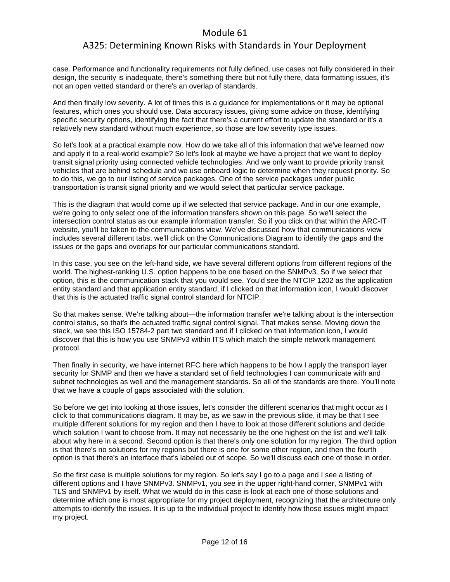## A325: Determining Known Risks with Standards in Your Deployment

case. Performance and functionality requirements not fully defined, use cases not fully considered in their design, the security is inadequate, there's something there but not fully there, data formatting issues, it's not an open vetted standard or there's an overlap of standards.

And then finally low severity. A lot of times this is a guidance for implementations or it may be optional features, which ones you should use. Data accuracy issues, giving some advice on those, identifying specific security options, identifying the fact that there's a current effort to update the standard or it's a relatively new standard without much experience, so those are low severity type issues.

So let's look at a practical example now. How do we take all of this information that we've learned now and apply it to a real-world example? So let's look at maybe we have a project that we want to deploy transit signal priority using connected vehicle technologies. And we only want to provide priority transit vehicles that are behind schedule and we use onboard logic to determine when they request priority. So to do this, we go to our listing of service packages. One of the service packages under public transportation is transit signal priority and we would select that particular service package.

This is the diagram that would come up if we selected that service package. And in our one example, we're going to only select one of the information transfers shown on this page. So we'll select the intersection control status as our example information transfer. So if you click on that within the ARC-IT website, you'll be taken to the communications view. We've discussed how that communications view includes several different tabs, we'll click on the Communications Diagram to identify the gaps and the issues or the gaps and overlaps for our particular communications standard.

In this case, you see on the left-hand side, we have several different options from different regions of the world. The highest-ranking U.S. option happens to be one based on the SNMPv3. So if we select that option, this is the communication stack that you would see. You'd see the NTCIP 1202 as the application entity standard and that application entity standard, if I clicked on that information icon, I would discover that this is the actuated traffic signal control standard for NTCIP.

So that makes sense. We're talking about—the information transfer we're talking about is the intersection control status, so that's the actuated traffic signal control signal. That makes sense. Moving down the stack, we see this ISO 15784-2 part two standard and if I clicked on that information icon, I would discover that this is how you use SNMPv3 within ITS which match the simple network management protocol.

Then finally in security, we have internet RFC here which happens to be how I apply the transport layer security for SNMP and then we have a standard set of field technologies I can communicate with and subnet technologies as well and the management standards. So all of the standards are there. You'll note that we have a couple of gaps associated with the solution.

So before we get into looking at those issues, let's consider the different scenarios that might occur as I click to that communications diagram. It may be, as we saw in the previous slide, it may be that I see multiple different solutions for my region and then I have to look at those different solutions and decide which solution I want to choose from. It may not necessarily be the one highest on the list and we'll talk about why here in a second. Second option is that there's only one solution for my region. The third option is that there's no solutions for my regions but there is one for some other region, and then the fourth option is that there's an interface that's labeled out of scope. So we'll discuss each one of those in order.

So the first case is multiple solutions for my region. So let's say I go to a page and I see a listing of different options and I have SNMPv3. SNMPv1, you see in the upper right-hand corner, SNMPv1 with TLS and SNMPv1 by itself. What we would do in this case is look at each one of those solutions and determine which one is most appropriate for my project deployment, recognizing that the architecture only attempts to identify the issues. It is up to the individual project to identify how those issues might impact my project.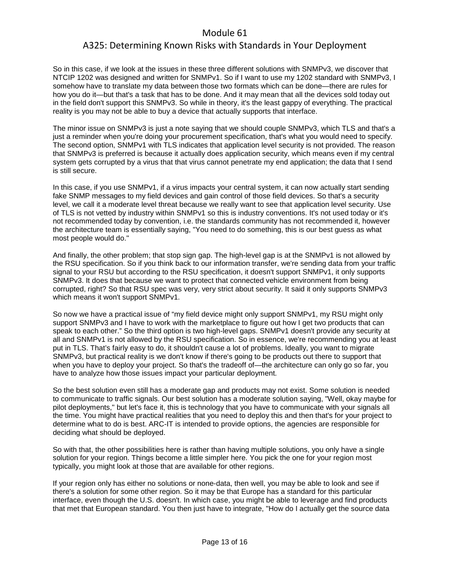#### A325: Determining Known Risks with Standards in Your Deployment

So in this case, if we look at the issues in these three different solutions with SNMPv3, we discover that NTCIP 1202 was designed and written for SNMPv1. So if I want to use my 1202 standard with SNMPv3, I somehow have to translate my data between those two formats which can be done—there are rules for how you do it—but that's a task that has to be done. And it may mean that all the devices sold today out in the field don't support this SNMPv3. So while in theory, it's the least gappy of everything. The practical reality is you may not be able to buy a device that actually supports that interface.

The minor issue on SNMPv3 is just a note saying that we should couple SNMPv3, which TLS and that's a just a reminder when you're doing your procurement specification, that's what you would need to specify. The second option, SNMPv1 with TLS indicates that application level security is not provided. The reason that SNMPv3 is preferred is because it actually does application security, which means even if my central system gets corrupted by a virus that that virus cannot penetrate my end application; the data that I send is still secure.

In this case, if you use SNMPv1, if a virus impacts your central system, it can now actually start sending fake SNMP messages to my field devices and gain control of those field devices. So that's a security level, we call it a moderate level threat because we really want to see that application level security. Use of TLS is not vetted by industry within SNMPv1 so this is industry conventions. It's not used today or it's not recommended today by convention, i.e. the standards community has not recommended it, however the architecture team is essentially saying, "You need to do something, this is our best guess as what most people would do."

And finally, the other problem; that stop sign gap. The high-level gap is at the SNMPv1 is not allowed by the RSU specification. So if you think back to our information transfer, we're sending data from your traffic signal to your RSU but according to the RSU specification, it doesn't support SNMPv1, it only supports SNMPv3. It does that because we want to protect that connected vehicle environment from being corrupted, right? So that RSU spec was very, very strict about security. It said it only supports SNMPv3 which means it won't support SNMPv1.

So now we have a practical issue of "my field device might only support SNMPv1, my RSU might only support SNMPv3 and I have to work with the marketplace to figure out how I get two products that can speak to each other." So the third option is two high-level gaps. SNMPv1 doesn't provide any security at all and SNMPv1 is not allowed by the RSU specification. So in essence, we're recommending you at least put in TLS. That's fairly easy to do, it shouldn't cause a lot of problems. Ideally, you want to migrate SNMPv3, but practical reality is we don't know if there's going to be products out there to support that when you have to deploy your project. So that's the tradeoff of—the architecture can only go so far, you have to analyze how those issues impact your particular deployment.

So the best solution even still has a moderate gap and products may not exist. Some solution is needed to communicate to traffic signals. Our best solution has a moderate solution saying, "Well, okay maybe for pilot deployments," but let's face it, this is technology that you have to communicate with your signals all the time. You might have practical realities that you need to deploy this and then that's for your project to determine what to do is best. ARC-IT is intended to provide options, the agencies are responsible for deciding what should be deployed.

So with that, the other possibilities here is rather than having multiple solutions, you only have a single solution for your region. Things become a little simpler here. You pick the one for your region most typically, you might look at those that are available for other regions.

If your region only has either no solutions or none-data, then well, you may be able to look and see if there's a solution for some other region. So it may be that Europe has a standard for this particular interface, even though the U.S. doesn't. In which case, you might be able to leverage and find products that met that European standard. You then just have to integrate, "How do I actually get the source data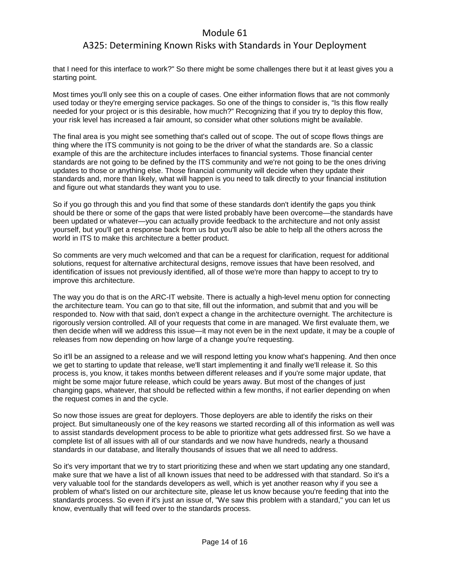## A325: Determining Known Risks with Standards in Your Deployment

that I need for this interface to work?" So there might be some challenges there but it at least gives you a starting point.

Most times you'll only see this on a couple of cases. One either information flows that are not commonly used today or they're emerging service packages. So one of the things to consider is, "Is this flow really needed for your project or is this desirable, how much?" Recognizing that if you try to deploy this flow, your risk level has increased a fair amount, so consider what other solutions might be available.

The final area is you might see something that's called out of scope. The out of scope flows things are thing where the ITS community is not going to be the driver of what the standards are. So a classic example of this are the architecture includes interfaces to financial systems. Those financial center standards are not going to be defined by the ITS community and we're not going to be the ones driving updates to those or anything else. Those financial community will decide when they update their standards and, more than likely, what will happen is you need to talk directly to your financial institution and figure out what standards they want you to use.

So if you go through this and you find that some of these standards don't identify the gaps you think should be there or some of the gaps that were listed probably have been overcome—the standards have been updated or whatever—you can actually provide feedback to the architecture and not only assist yourself, but you'll get a response back from us but you'll also be able to help all the others across the world in ITS to make this architecture a better product.

So comments are very much welcomed and that can be a request for clarification, request for additional solutions, request for alternative architectural designs, remove issues that have been resolved, and identification of issues not previously identified, all of those we're more than happy to accept to try to improve this architecture.

The way you do that is on the ARC-IT website. There is actually a high-level menu option for connecting the architecture team. You can go to that site, fill out the information, and submit that and you will be responded to. Now with that said, don't expect a change in the architecture overnight. The architecture is rigorously version controlled. All of your requests that come in are managed. We first evaluate them, we then decide when will we address this issue—it may not even be in the next update, it may be a couple of releases from now depending on how large of a change you're requesting.

So it'll be an assigned to a release and we will respond letting you know what's happening. And then once we get to starting to update that release, we'll start implementing it and finally we'll release it. So this process is, you know, it takes months between different releases and if you're some major update, that might be some major future release, which could be years away. But most of the changes of just changing gaps, whatever, that should be reflected within a few months, if not earlier depending on when the request comes in and the cycle.

So now those issues are great for deployers. Those deployers are able to identify the risks on their project. But simultaneously one of the key reasons we started recording all of this information as well was to assist standards development process to be able to prioritize what gets addressed first. So we have a complete list of all issues with all of our standards and we now have hundreds, nearly a thousand standards in our database, and literally thousands of issues that we all need to address.

So it's very important that we try to start prioritizing these and when we start updating any one standard, make sure that we have a list of all known issues that need to be addressed with that standard. So it's a very valuable tool for the standards developers as well, which is yet another reason why if you see a problem of what's listed on our architecture site, please let us know because you're feeding that into the standards process. So even if it's just an issue of, "We saw this problem with a standard," you can let us know, eventually that will feed over to the standards process.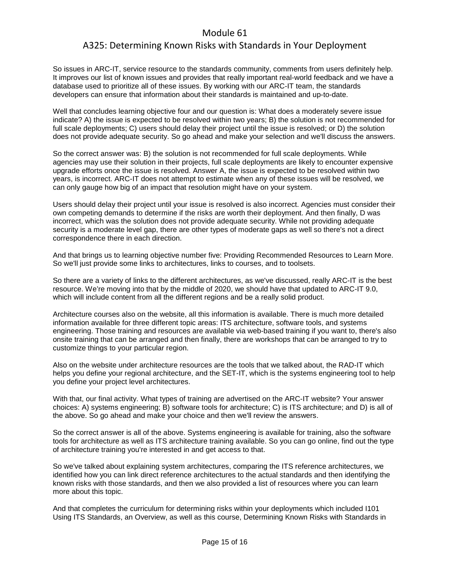## A325: Determining Known Risks with Standards in Your Deployment

So issues in ARC-IT, service resource to the standards community, comments from users definitely help. It improves our list of known issues and provides that really important real-world feedback and we have a database used to prioritize all of these issues. By working with our ARC-IT team, the standards developers can ensure that information about their standards is maintained and up-to-date.

Well that concludes learning objective four and our question is: What does a moderately severe issue indicate? A) the issue is expected to be resolved within two years; B) the solution is not recommended for full scale deployments; C) users should delay their project until the issue is resolved; or D) the solution does not provide adequate security. So go ahead and make your selection and we'll discuss the answers.

So the correct answer was: B) the solution is not recommended for full scale deployments. While agencies may use their solution in their projects, full scale deployments are likely to encounter expensive upgrade efforts once the issue is resolved. Answer A, the issue is expected to be resolved within two years, is incorrect. ARC-IT does not attempt to estimate when any of these issues will be resolved, we can only gauge how big of an impact that resolution might have on your system.

Users should delay their project until your issue is resolved is also incorrect. Agencies must consider their own competing demands to determine if the risks are worth their deployment. And then finally, D was incorrect, which was the solution does not provide adequate security. While not providing adequate security is a moderate level gap, there are other types of moderate gaps as well so there's not a direct correspondence there in each direction.

And that brings us to learning objective number five: Providing Recommended Resources to Learn More. So we'll just provide some links to architectures, links to courses, and to toolsets.

So there are a variety of links to the different architectures, as we've discussed, really ARC-IT is the best resource. We're moving into that by the middle of 2020, we should have that updated to ARC-IT 9.0, which will include content from all the different regions and be a really solid product.

Architecture courses also on the website, all this information is available. There is much more detailed information available for three different topic areas: ITS architecture, software tools, and systems engineering. Those training and resources are available via web-based training if you want to, there's also onsite training that can be arranged and then finally, there are workshops that can be arranged to try to customize things to your particular region.

Also on the website under architecture resources are the tools that we talked about, the RAD-IT which helps you define your regional architecture, and the SET-IT, which is the systems engineering tool to help you define your project level architectures.

With that, our final activity. What types of training are advertised on the ARC-IT website? Your answer choices: A) systems engineering; B) software tools for architecture; C) is ITS architecture; and D) is all of the above. So go ahead and make your choice and then we'll review the answers.

So the correct answer is all of the above. Systems engineering is available for training, also the software tools for architecture as well as ITS architecture training available. So you can go online, find out the type of architecture training you're interested in and get access to that.

So we've talked about explaining system architectures, comparing the ITS reference architectures, we identified how you can link direct reference architectures to the actual standards and then identifying the known risks with those standards, and then we also provided a list of resources where you can learn more about this topic.

And that completes the curriculum for determining risks within your deployments which included I101 Using ITS Standards, an Overview, as well as this course, Determining Known Risks with Standards in